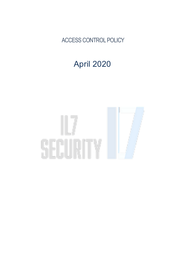ACCESS CONTROL POLICY

## April 2020

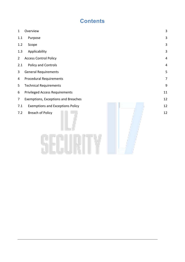## **Contents**

| $\mathbf{1}$   | Overview                                       | 3              |  |
|----------------|------------------------------------------------|----------------|--|
| 1.1            | Purpose                                        | 3              |  |
| 1.2            | Scope                                          | 3              |  |
| 1.3            | Applicability                                  | 3              |  |
| $\overline{2}$ | <b>Access Control Policy</b><br>$\overline{4}$ |                |  |
| 2.1            | Policy and Controls                            | $\overline{4}$ |  |
| 3              | <b>General Requirements</b>                    | 5              |  |
| 4              | <b>Procedural Requirements</b>                 | $\overline{7}$ |  |
| 5              | <b>Technical Requirements</b>                  | 9              |  |
| 6              | <b>Privileged Access Requirements</b>          | $11\,$         |  |
| 7              | Exemptions, Exceptions and Breaches            | 12             |  |
| 7.1            | <b>Exemptions and Exceptions Policy</b>        | 12             |  |
| 7.2            | <b>Breach of Policy</b>                        | 12             |  |
|                |                                                |                |  |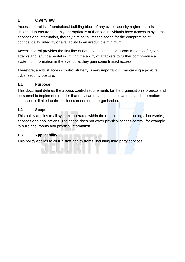#### <span id="page-2-0"></span>**1 Overview**

Access control is a foundational building block of any cyber security regime, as it is designed to ensure that only appropriately authorised individuals have access to systems, services and information, thereby aiming to limit the scope for the compromise of confidentiality, integrity or availability to an irreducible minimum.

Access control provides the first line of defence against a significant majority of cyberattacks and is fundamental in limiting the ability of attackers to further compromise a system or information in the event that they gain some limited access.

Therefore, a robust access control strategy is very important in maintaining a positive cyber security posture.

#### <span id="page-2-1"></span>**1.1 Purpose**

This document defines the access control requirements for the organisation's projects and personnel to implement in order that they can develop secure systems and information accessed is limited to the business needs of the organisation.

#### <span id="page-2-2"></span>**1.2 Scope**

This policy applies to all systems operated within the organisation, including all networks, services and applications. The scope does not cover physical access control, for example to buildings, rooms and physical information.

#### <span id="page-2-3"></span>**1.3 Applicability**

This policy applies to all IL7 staff and systems, including third party services.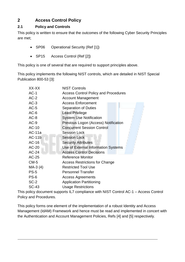### <span id="page-3-0"></span>**2 Access Control Policy**

#### <span id="page-3-1"></span>**2.1 Policy and Controls**

This policy is written to ensure that the outcomes of the following Cyber Security Principles are met;

- SP06 Operational Security (Ref [1])
- SP15 Access Control (Ref [2])

This policy is one of several that are required to support principles above.

This policy implements the following NIST controls, which are detailed in NIST Special Publication 800-53 [3]:

| XX-XX        | <b>NIST Controls</b>                        |
|--------------|---------------------------------------------|
| $AC-1$       | <b>Access Control Policy and Procedures</b> |
| $AC-2$       | <b>Account Management</b>                   |
| $AC-3$       | <b>Access Enforcement</b>                   |
| $AC-5$       | <b>Separation of Duties</b>                 |
| $AC-6$       | <b>Least Privilege</b>                      |
| $AC-8$       | <b>System Use Notification</b>              |
| $AC-9$       | Previous Logon (Access) Notification        |
| AC-10        | <b>Concurrent Session Control</b>           |
| $AC-11a$     | <b>Session Lock</b>                         |
| $AC-11b$     | <b>Session Lock</b>                         |
| AC-16        | <b>Security Attributes</b>                  |
| AC-20        | Use of External Information Systems         |
| AC-24        | <b>Access Control Decisions</b>             |
| <b>AC-25</b> | <b>Reference Monitor</b>                    |
| $CM-5$       | <b>Access Restrictions for Change</b>       |
| $MA-3(4)$    | <b>Restricted Tool Use</b>                  |
| <b>PS-5</b>  | <b>Personnel Transfer</b>                   |
| <b>PS-6</b>  | <b>Access Agreements</b>                    |
| $SC-2$       | <b>Application Partitioning</b>             |
| <b>SC-43</b> | <b>Usage Restrictions</b>                   |

This policy document supports IL7 compliance with NIST Control AC-1 – Access Control Policy and Procedures.

This policy forms one element of the implementation of a robust Identity and Access Management (IdAM) Framework and hence must be read and implemented in concert with the Authentication and Account Management Policies, Refs [4] and [5] respectively.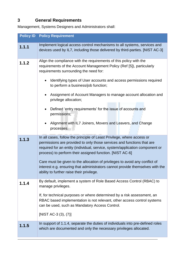## <span id="page-4-0"></span>**3 General Requirements**

Management, Systems Designers and Administrators shall:

<span id="page-4-1"></span>

|       | <b>Policy ID Policy Requirement</b>                                                                                                                                                                                                                                                                                                                                                                                                                                                                                                                      |
|-------|----------------------------------------------------------------------------------------------------------------------------------------------------------------------------------------------------------------------------------------------------------------------------------------------------------------------------------------------------------------------------------------------------------------------------------------------------------------------------------------------------------------------------------------------------------|
| 1.1.1 | Implement logical access control mechanisms to all systems, services and<br>devices used by IL7, including those delivered by third-parties. [NIST AC-3]                                                                                                                                                                                                                                                                                                                                                                                                 |
| 1.1.2 | Align the compliance with the requirements of this policy with the<br>requirements of the Account Management Policy (Ref [5]), particularly<br>requirements surrounding the need for:<br>Identifying types of User accounts and access permissions required<br>to perform a business/job function;<br>Assignment of Account Managers to manage account allocation and<br>privilege allocation;<br>Defined 'entry requirements' for the issue of accounts and<br>permissions;<br>Alignment with IL7 Joiners, Movers and Leavers, and Change<br>processes. |
| 1.1.3 | In all cases, follow the principle of Least Privilege, where access or<br>permissions are provided to only those services and functions that are<br>required for an entity (individual, service, system/application component or<br>process) to perform their assigned function. [NIST AC-6]<br>Care must be given to the allocation of privileges to avoid any conflict of<br>interest e.g. ensuring that administrators cannot provide themselves with the<br>ability to further raise their privilege.                                                |
| 1.1.4 | By default, implement a system of Role Based Access Control (RBAC) to<br>manage privileges.<br>If, for technical purposes or where determined by a risk assessment, an<br>RBAC based implementation is not relevant, other access control systems<br>can be used, such as Mandatory Access Control.<br>[NIST AC-3 (3), (7)]<br>In support of 1.1.4, separate the duties of individuals into pre-defined roles                                                                                                                                            |
| 1.1.5 | which are documented and only the necessary privileges allocated.                                                                                                                                                                                                                                                                                                                                                                                                                                                                                        |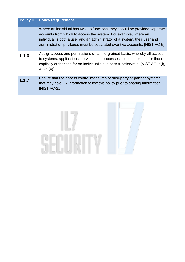|       | <b>Policy ID Policy Requirement</b>                                                                                                                                                                                                                                                                        |
|-------|------------------------------------------------------------------------------------------------------------------------------------------------------------------------------------------------------------------------------------------------------------------------------------------------------------|
|       | Where an individual has two job functions, they should be provided separate<br>accounts from which to access the system. For example, where an<br>individual is both a user and an administrator of a system, their user and<br>administration privileges must be separated over two accounts. [NIST AC-5] |
| 1.1.6 | Assign access and permissions on a fine-grained basis, whereby all access<br>to systems, applications, services and processes is denied except for those<br>explicitly authorised for an individual's business function/role. [NIST AC-2 (i),<br>$AC-6(4)$                                                 |
| 1.1.7 | Ensure that the access control measures of third-party or partner systems<br>that may hold IL7 information follow this policy prior to sharing information.<br>[NIST AC-21]                                                                                                                                |

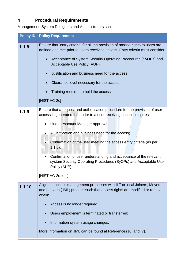## <span id="page-6-0"></span>**4 Procedural Requirements**

Management, System Designers and Administrators shall:

<span id="page-6-1"></span>

|        | <b>Policy ID Policy Requirement</b>                                                                                                                                |
|--------|--------------------------------------------------------------------------------------------------------------------------------------------------------------------|
| 1.1.8  | Ensure that 'entry criteria' for all the provision of access rights to users are<br>defined and met prior to users receiving access. Entry criteria must consider: |
|        | Acceptance of System Security Operating Procedures (SyOPs) and<br>$\bullet$<br>Acceptable Use Policy (AUP);                                                        |
|        | Justification and business need for the access;<br>$\bullet$                                                                                                       |
|        | Clearance level necessary for the access;                                                                                                                          |
|        | Training required to hold the access.                                                                                                                              |
|        | [NIST AC-2c]                                                                                                                                                       |
| 1.1.9  | Ensure that a request and authorisation procedure for the provision of user<br>access is generated that, prior to a user receiving access, requires:               |
|        | Line or Account Manager approval;                                                                                                                                  |
|        | A justification and business need for the access;                                                                                                                  |
|        | Confirmation of the user meeting the access entry criteria (as per<br>(1.1.8);                                                                                     |
|        | Confirmation of user understanding and acceptance of the relevant<br>system Security Operating Procedures (SyOPs) and Acceptable Use<br>Policy (AUP).              |
|        | [NIST AC-2d, e, i]                                                                                                                                                 |
| 1.1.10 | Align the access management processes with IL7 or local Joiners, Movers<br>and Leavers (JML) process such that access rights are modified or removed<br>when:      |
|        | Access is no longer required;                                                                                                                                      |
|        | Users employment is terminated or transferred;                                                                                                                     |
|        | Information system usage changes.                                                                                                                                  |
|        | More information on JML can be found at References [6] and [7].                                                                                                    |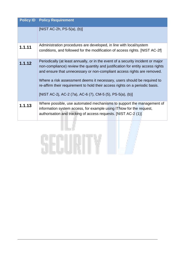|        | <b>Policy ID Policy Requirement</b>                                                                                                                                                                                                                                                                                                                                                                                                                                   |
|--------|-----------------------------------------------------------------------------------------------------------------------------------------------------------------------------------------------------------------------------------------------------------------------------------------------------------------------------------------------------------------------------------------------------------------------------------------------------------------------|
|        | [NIST AC-2h, $PS-5(a)$ , $(b)$ ]                                                                                                                                                                                                                                                                                                                                                                                                                                      |
| 1.1.11 | Administration procedures are developed, in line with local/system<br>conditions, and followed for the modification of access rights. [NIST AC-2f]                                                                                                                                                                                                                                                                                                                    |
| 1.1.12 | Periodically (at least annually, or in the event of a security incident or major<br>non-compliance) review the quantity and justification for entity access rights<br>and ensure that unnecessary or non-compliant access rights are removed.<br>Where a risk assessment deems it necessary, users should be required to<br>re-affirm their requirement to hold their access rights on a periodic basis.<br>[NIST AC-2j, AC-2 (7a), AC-6 (7), CM-5 (5), PS-5(a), (b)] |
| 1.1.13 | Where possible, use automated mechanisms to support the management of<br>information system access, for example using ITNow for the request,<br>authorisation and tracking of access requests. [NIST AC-2 (1)]                                                                                                                                                                                                                                                        |

##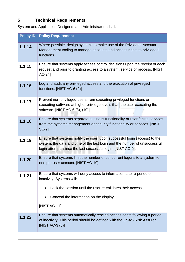## <span id="page-8-0"></span>**5 Technical Requirements**

System and Application Designers and Administrators shall:

|        | <b>Policy ID Policy Requirement</b>                                                                                                                                                                                      |
|--------|--------------------------------------------------------------------------------------------------------------------------------------------------------------------------------------------------------------------------|
| 1.1.14 | Where possible, design systems to make use of the Privileged Account<br>Management tooling to manage accounts and access rights to privileged<br>functions.                                                              |
| 1.1.15 | Ensure that systems apply access control decisions upon the receipt of each<br>request and prior to granting access to a system, service or process. [NIST<br>$AC-24$                                                    |
| 1.1.16 | Log and audit any privileged access and the execution of privileged<br>functions. [NIST AC-6 (9)]                                                                                                                        |
| 1.1.17 | Prevent non-privileged users from executing privileged functions or<br>executing software at higher privilege levels than the user executing the<br>software. [NIST AC-6 (8), (10)]                                      |
| 1.1.18 | Ensure that systems separate business functionality or user facing services<br>from the systems management or security functionality or services. [NIST<br><b>SC-21</b>                                                  |
| 1.1.19 | Ensure that systems notify the user, upon successful login (access) to the<br>system, the data and time of the last login and the number of unsuccessful<br>login attempts since the last successful login. [NIST AC-9]. |
| 1.1.20 | Ensure that systems limit the number of concurrent logons to a system to<br>one per user account. [NIST AC-10]                                                                                                           |
| 1.1.21 | Ensure that systems will deny access to information after a period of<br>inactivity. Systems will:<br>Lock the session until the user re-validates their access.<br>Conceal the information on the display.              |
|        | [NIST AC-11]                                                                                                                                                                                                             |
| 1.1.22 | Ensure that systems automatically rescind access rights following a period<br>of inactivity. This period should be defined with the CSAS Risk Assurer.<br>[NIST AC-3 (8)]                                                |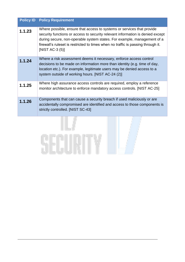|        | <b>Policy ID Policy Requirement</b>                                                                                                                                                                                                                                                                                                           |
|--------|-----------------------------------------------------------------------------------------------------------------------------------------------------------------------------------------------------------------------------------------------------------------------------------------------------------------------------------------------|
| 1.1.23 | Where possible, ensure that access to systems or services that provide<br>security functions or access to security relevant information is denied except<br>during secure, non-operable system states. For example, management of a<br>firewall's ruleset is restricted to times when no traffic is passing through it.<br>[NIST AC-3 $(5)$ ] |
| 1.1.24 | Where a risk assessment deems it necessary, enforce access control<br>decisions to be made on information more than identity (e.g. time of day,<br>location etc.). For example, legitimate users may be denied access to a<br>system outside of working hours. [NIST AC-24 (2)]                                                               |
| 1.1.25 | Where high assurance access controls are required, employ a reference<br>monitor architecture to enforce mandatory access controls. [NIST AC-25]                                                                                                                                                                                              |
| 1.1.26 | Components that can cause a security breach if used maliciously or are<br>accidentally compromised are identified and access to those components is<br>strictly controlled. [NIST SC-43]                                                                                                                                                      |

#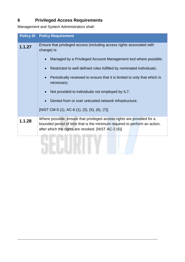### <span id="page-10-0"></span>**6 Privileged Access Requirements**

Management and System Administrators shall:

| <b>Policy ID</b> | <b>Policy Requirement</b>                                                                                                                                                                                   |
|------------------|-------------------------------------------------------------------------------------------------------------------------------------------------------------------------------------------------------------|
| 1.1.27           | Ensure that privileged access (including access rights associated with<br>change) is:                                                                                                                       |
|                  | Managed by a Privileged Account Management tool where possible;                                                                                                                                             |
|                  | Restricted to well defined roles fulfilled by nominated individuals;                                                                                                                                        |
|                  | Periodically reviewed to ensure that it is limited to only that which is<br>necessary;                                                                                                                      |
|                  | Not provided to individuals not employed by IL7;                                                                                                                                                            |
|                  | Denied from or over untrusted network infrastructure.                                                                                                                                                       |
|                  | [NIST CM-5 (1), AC-6 (1), (3), (5), (6), (7)]                                                                                                                                                               |
| 1.1.28           | Where possible, ensure that privileged access rights are provided for a<br>bounded period of time that is the minimum required to perform an action,<br>after which the rights are revoked. [NIST AC-2 (6)] |
|                  |                                                                                                                                                                                                             |